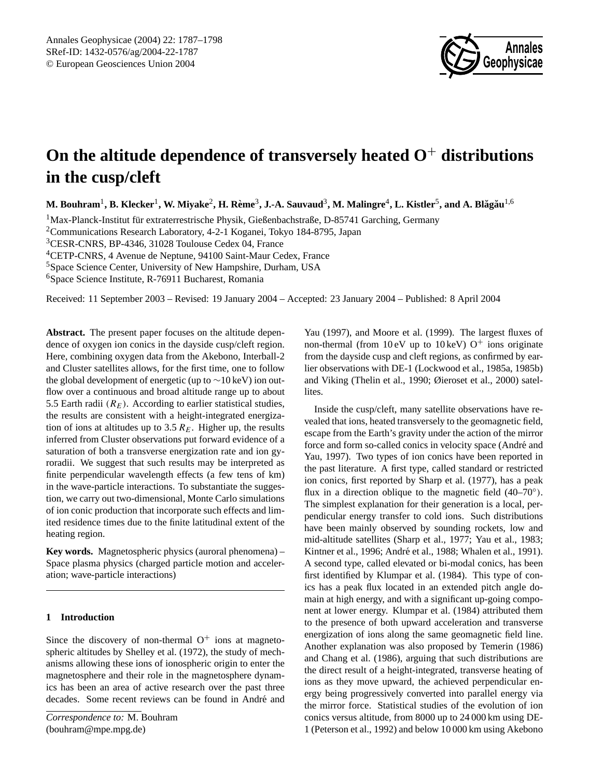

# **On the altitude dependence of transversely heated O**<sup>+</sup> **distributions in the cusp/cleft**

 $\bf{M.}$  Bouhram $^1$ ,  $\bf{B.}$  Klecker $^1$ ,  $\bf{W.}$  Miyake $^2$ ,  $\bf{H.}$  Rème $^3$ ,  $\bf{J.}\text{-}A.$  Sauvaud $^3$ ,  $\bf{M.}$  Malingre $^4$ ,  $\bf{L.}$  Kistler $^5$ , and  $\bf{A.}$  Blăgău $^{1,6}$ 

 $1<sup>1</sup>$ Max-Planck-Institut für extraterrestrische Physik, Gießenbachstraße, D-85741 Garching, Germany

<sup>2</sup>Communications Research Laboratory, 4-2-1 Koganei, Tokyo 184-8795, Japan

<sup>3</sup>CESR-CNRS, BP-4346, 31028 Toulouse Cedex 04, France

<sup>4</sup>CETP-CNRS, 4 Avenue de Neptune, 94100 Saint-Maur Cedex, France

<sup>5</sup>Space Science Center, University of New Hampshire, Durham, USA

<sup>6</sup>Space Science Institute, R-76911 Bucharest, Romania

Received: 11 September 2003 – Revised: 19 January 2004 – Accepted: 23 January 2004 – Published: 8 April 2004

**Abstract.** The present paper focuses on the altitude dependence of oxygen ion conics in the dayside cusp/cleft region. Here, combining oxygen data from the Akebono, Interball-2 and Cluster satellites allows, for the first time, one to follow the global development of energetic (up to  $\sim$ 10 keV) ion outflow over a continuous and broad altitude range up to about 5.5 Earth radii  $(R<sub>E</sub>)$ . According to earlier statistical studies, the results are consistent with a height-integrated energization of ions at altitudes up to 3.5  $R_E$ . Higher up, the results inferred from Cluster observations put forward evidence of a saturation of both a transverse energization rate and ion gyroradii. We suggest that such results may be interpreted as finite perpendicular wavelength effects (a few tens of km) in the wave-particle interactions. To substantiate the suggestion, we carry out two-dimensional, Monte Carlo simulations of ion conic production that incorporate such effects and limited residence times due to the finite latitudinal extent of the heating region.

**Key words.** Magnetospheric physics (auroral phenomena) – Space plasma physics (charged particle motion and acceleration; wave-particle interactions)

## **1 Introduction**

Since the discovery of non-thermal  $O^+$  ions at magnetospheric altitudes by Shelley et al. (1972), the study of mechanisms allowing these ions of ionospheric origin to enter the magnetosphere and their role in the magnetosphere dynamics has been an area of active research over the past three decades. Some recent reviews can be found in André and

Yau (1997), and Moore et al. (1999). The largest fluxes of non-thermal (from  $10 \text{ eV}$  up to  $10 \text{ keV}$ ) O<sup>+</sup> ions originate from the dayside cusp and cleft regions, as confirmed by earlier observations with DE-1 (Lockwood et al., 1985a, 1985b) and Viking (Thelin et al., 1990; Øieroset et al., 2000) satellites.

Inside the cusp/cleft, many satellite observations have revealed that ions, heated transversely to the geomagnetic field, escape from the Earth's gravity under the action of the mirror force and form so-called conics in velocity space (André and Yau, 1997). Two types of ion conics have been reported in the past literature. A first type, called standard or restricted ion conics, first reported by Sharp et al. (1977), has a peak flux in a direction oblique to the magnetic field (40–70°). The simplest explanation for their generation is a local, perpendicular energy transfer to cold ions. Such distributions have been mainly observed by sounding rockets, low and mid-altitude satellites (Sharp et al., 1977; Yau et al., 1983; Kintner et al., 1996; André et al., 1988; Whalen et al., 1991). A second type, called elevated or bi-modal conics, has been first identified by Klumpar et al. (1984). This type of conics has a peak flux located in an extended pitch angle domain at high energy, and with a significant up-going component at lower energy. Klumpar et al. (1984) attributed them to the presence of both upward acceleration and transverse energization of ions along the same geomagnetic field line. Another explanation was also proposed by Temerin (1986) and Chang et al. (1986), arguing that such distributions are the direct result of a height-integrated, transverse heating of ions as they move upward, the achieved perpendicular energy being progressively converted into parallel energy via the mirror force. Statistical studies of the evolution of ion conics versus altitude, from 8000 up to 24 000 km using DE-1 (Peterson et al., 1992) and below 10 000 km using Akebono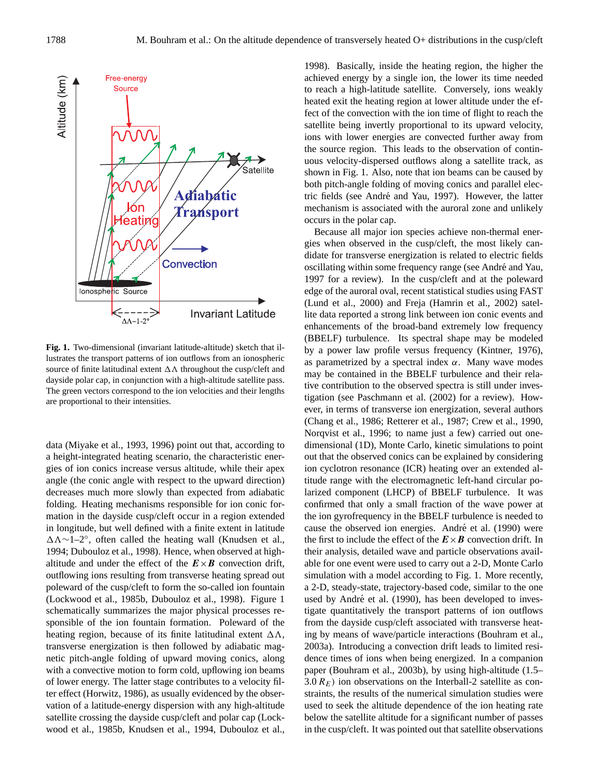

Fig. 1. Two-dimensional (invariant latitude-altitude) sketch that illustrates the transport patterns of ion outflows from an ionospheric source of finite latitudinal extent  $\Delta\Lambda$  throughout the cusp/cleft and dayside polar cap, in conjunction with a high-altitude satellite pass. The green vectors correspond to the ion velocities and their lengths are proportional to their intensities.

data (Miyake et al., 1993, 1996) point out that, according to a height-integrated heating scenario, the characteristic energies of ion conics increase versus altitude, while their apex angle (the conic angle with respect to the upward direction) decreases much more slowly than expected from adiabatic folding. Heating mechanisms responsible for ion conic formation in the dayside cusp/cleft occur in a region extended in longitude, but well defined with a finite extent in latitude 13∼1–2◦ , often called the heating wall (Knudsen et al., 1994; Dubouloz et al., 1998). Hence, when observed at highaltitude and under the effect of the  $E \times B$  convection drift, outflowing ions resulting from transverse heating spread out poleward of the cusp/cleft to form the so-called ion fountain (Lockwood et al., 1985b, Dubouloz et al., 1998). Figure 1 schematically summarizes the major physical processes responsible of the ion fountain formation. Poleward of the heating region, because of its finite latitudinal extent  $\Delta \Lambda$ , transverse energization is then followed by adiabatic magnetic pitch-angle folding of upward moving conics, along with a convective motion to form cold, upflowing ion beams of lower energy. The latter stage contributes to a velocity filter effect (Horwitz, 1986), as usually evidenced by the observation of a latitude-energy dispersion with any high-altitude satellite crossing the dayside cusp/cleft and polar cap (Lockwood et al., 1985b, Knudsen et al., 1994, Dubouloz et al.,

1998). Basically, inside the heating region, the higher the achieved energy by a single ion, the lower its time needed to reach a high-latitude satellite. Conversely, ions weakly heated exit the heating region at lower altitude under the effect of the convection with the ion time of flight to reach the satellite being invertly proportional to its upward velocity, ions with lower energies are convected further away from the source region. This leads to the observation of continuous velocity-dispersed outflows along a satellite track, as shown in Fig. 1. Also, note that ion beams can be caused by both pitch-angle folding of moving conics and parallel electric fields (see André and Yau, 1997). However, the latter mechanism is associated with the auroral zone and unlikely occurs in the polar cap.

Because all major ion species achieve non-thermal energies when observed in the cusp/cleft, the most likely candidate for transverse energization is related to electric fields oscillating within some frequency range (see André and Yau, 1997 for a review). In the cusp/cleft and at the poleward edge of the auroral oval, recent statistical studies using FAST (Lund et al., 2000) and Freja (Hamrin et al., 2002) satellite data reported a strong link between ion conic events and enhancements of the broad-band extremely low frequency (BBELF) turbulence. Its spectral shape may be modeled by a power law profile versus frequency (Kintner, 1976), as parametrized by a spectral index  $\alpha$ . Many wave modes may be contained in the BBELF turbulence and their relative contribution to the observed spectra is still under investigation (see Paschmann et al. (2002) for a review). However, in terms of transverse ion energization, several authors (Chang et al., 1986; Retterer et al., 1987; Crew et al., 1990, Norqvist et al., 1996; to name just a few) carried out onedimensional (1D), Monte Carlo, kinetic simulations to point out that the observed conics can be explained by considering ion cyclotron resonance (ICR) heating over an extended altitude range with the electromagnetic left-hand circular polarized component (LHCP) of BBELF turbulence. It was confirmed that only a small fraction of the wave power at the ion gyrofrequency in the BBELF turbulence is needed to cause the observed ion energies. André et al. (1990) were the first to include the effect of the  $E \times B$  convection drift. In their analysis, detailed wave and particle observations available for one event were used to carry out a 2-D, Monte Carlo simulation with a model according to Fig. 1. More recently, a 2-D, steady-state, trajectory-based code, similar to the one used by André et al. (1990), has been developed to investigate quantitatively the transport patterns of ion outflows from the dayside cusp/cleft associated with transverse heating by means of wave/particle interactions (Bouhram et al., 2003a). Introducing a convection drift leads to limited residence times of ions when being energized. In a companion paper (Bouhram et al., 2003b), by using high-altitude (1.5– 3.0  $R_E$ ) ion observations on the Interball-2 satellite as constraints, the results of the numerical simulation studies were used to seek the altitude dependence of the ion heating rate below the satellite altitude for a significant number of passes in the cusp/cleft. It was pointed out that satellite observations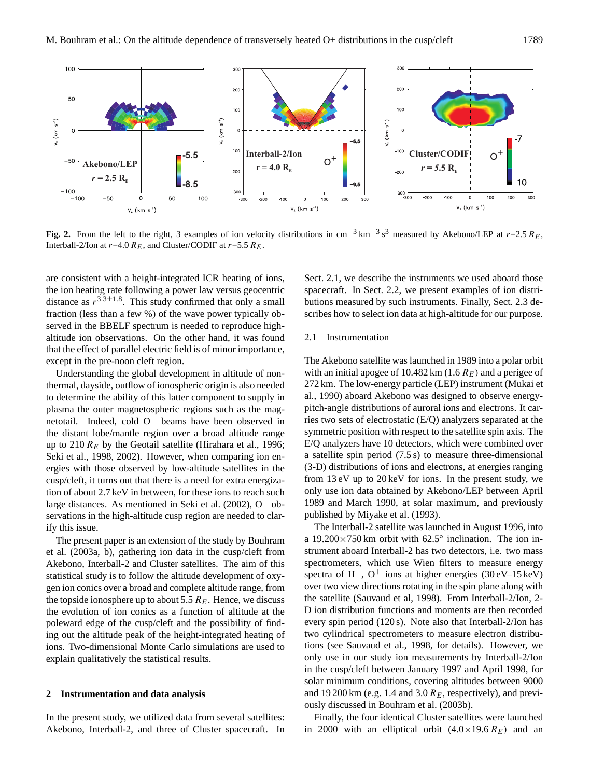

**Fig. 2.** From the left to the right, 3 examples of ion velocity distributions in cm<sup>-3</sup> km<sup>-3</sup> s<sup>3</sup> measured by Akebono/LEP at r=2.5 R<sub>E</sub>, Interball-2/Ion at  $r=4.0 R_E$ , and Cluster/CODIF at  $r=5.5 R_E$ .

are consistent with a height-integrated ICR heating of ions, the ion heating rate following a power law versus geocentric distance as  $r^{3.3\pm1.8}$ . This study confirmed that only a small fraction (less than a few %) of the wave power typically observed in the BBELF spectrum is needed to reproduce highaltitude ion observations. On the other hand, it was found that the effect of parallel electric field is of minor importance, except in the pre-noon cleft region.

Understanding the global development in altitude of nonthermal, dayside, outflow of ionospheric origin is also needed to determine the ability of this latter component to supply in plasma the outer magnetospheric regions such as the magnetotail. Indeed, cold  $O^+$  beams have been observed in the distant lobe/mantle region over a broad altitude range up to 210  $R_E$  by the Geotail satellite (Hirahara et al., 1996; Seki et al., 1998, 2002). However, when comparing ion energies with those observed by low-altitude satellites in the cusp/cleft, it turns out that there is a need for extra energization of about 2.7 keV in between, for these ions to reach such large distances. As mentioned in Seki et al.  $(2002)$ , O<sup>+</sup> observations in the high-altitude cusp region are needed to clarify this issue.

The present paper is an extension of the study by Bouhram et al. (2003a, b), gathering ion data in the cusp/cleft from Akebono, Interball-2 and Cluster satellites. The aim of this statistical study is to follow the altitude development of oxygen ion conics over a broad and complete altitude range, from the topside ionosphere up to about 5.5  $R_E$ . Hence, we discuss the evolution of ion conics as a function of altitude at the poleward edge of the cusp/cleft and the possibility of finding out the altitude peak of the height-integrated heating of ions. Two-dimensional Monte Carlo simulations are used to explain qualitatively the statistical results.

## **2 Instrumentation and data analysis**

In the present study, we utilized data from several satellites: Akebono, Interball-2, and three of Cluster spacecraft. In Sect. 2.1, we describe the instruments we used aboard those spacecraft. In Sect. 2.2, we present examples of ion distributions measured by such instruments. Finally, Sect. 2.3 describes how to select ion data at high-altitude for our purpose.

## 2.1 Instrumentation

The Akebono satellite was launched in 1989 into a polar orbit with an initial apogee of 10.482 km (1.6  $R_E$ ) and a perigee of 272 km. The low-energy particle (LEP) instrument (Mukai et al., 1990) aboard Akebono was designed to observe energypitch-angle distributions of auroral ions and electrons. It carries two sets of electrostatic (E/Q) analyzers separated at the symmetric position with respect to the satellite spin axis. The E/Q analyzers have 10 detectors, which were combined over a satellite spin period (7.5 s) to measure three-dimensional (3-D) distributions of ions and electrons, at energies ranging from 13 eV up to 20 keV for ions. In the present study, we only use ion data obtained by Akebono/LEP between April 1989 and March 1990, at solar maximum, and previously published by Miyake et al. (1993).

The Interball-2 satellite was launched in August 1996, into a  $19.200 \times 750$  km orbit with  $62.5^\circ$  inclination. The ion instrument aboard Interball-2 has two detectors, i.e. two mass spectrometers, which use Wien filters to measure energy spectra of  $H^+$ ,  $O^+$  ions at higher energies (30 eV–15 keV) over two view directions rotating in the spin plane along with the satellite (Sauvaud et al, 1998). From Interball-2/Ion, 2- D ion distribution functions and moments are then recorded every spin period (120 s). Note also that Interball-2/Ion has two cylindrical spectrometers to measure electron distributions (see Sauvaud et al., 1998, for details). However, we only use in our study ion measurements by Interball-2/Ion in the cusp/cleft between January 1997 and April 1998, for solar minimum conditions, covering altitudes between 9000 and 19 200 km (e.g. 1.4 and 3.0  $R<sub>E</sub>$ , respectively), and previously discussed in Bouhram et al. (2003b).

Finally, the four identical Cluster satellites were launched in 2000 with an elliptical orbit  $(4.0 \times 19.6 R_E)$  and an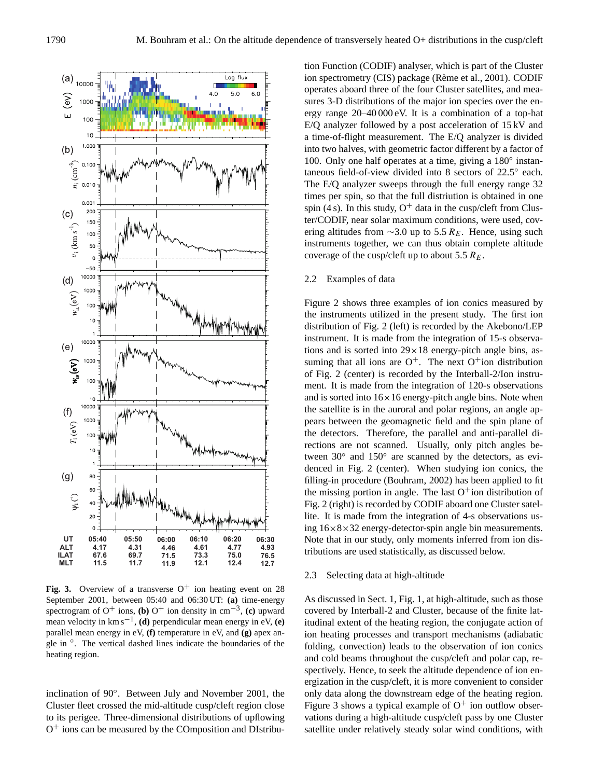

**Fig. 3.** Overview of a transverse  $O^+$  ion heating event on 28 September 2001, between 05:40 and 06:30 UT: **(a)** time-energy spectrogram of O<sup>+</sup> ions, **(b)** O<sup>+</sup> ion density in cm<sup>-3</sup>, **(c)** upward mean velocity in  $km s^{-1}$ , **(d)** perpendicular mean energy in eV, **(e)** parallel mean energy in eV, **(f)** temperature in eV, and **(g)** apex aneque in °. The vertical dashed lines indicate the boundaries of the heating region.

inclination of 90◦ . Between July and November 2001, the Cluster fleet crossed the mid-altitude cusp/cleft region close to its perigee. Three-dimensional distributions of upflowing O <sup>+</sup> ions can be measured by the COmposition and DIstribution Function (CODIF) analyser, which is part of the Cluster ion spectrometry (CIS) package (Rème et al., 2001). CODIF operates aboard three of the four Cluster satellites, and measures 3-D distributions of the major ion species over the energy range 20–40 000 eV. It is a combination of a top-hat E/Q analyzer followed by a post acceleration of 15 kV and a time-of-flight measurement. The E/Q analyzer is divided into two halves, with geometric factor different by a factor of 100. Only one half operates at a time, giving a 180◦ instantaneous field-of-view divided into 8 sectors of 22.5° each. The E/Q analyzer sweeps through the full energy range 32 times per spin, so that the full distriution is obtained in one spin (4 s). In this study,  $O^+$  data in the cusp/cleft from Cluster/CODIF, near solar maximum conditions, were used, covering altitudes from  $\sim$ 3.0 up to 5.5 R<sub>E</sub>. Hence, using such instruments together, we can thus obtain complete altitude coverage of the cusp/cleft up to about 5.5  $R_E$ .

## 2.2 Examples of data

Figure 2 shows three examples of ion conics measured by the instruments utilized in the present study. The first ion distribution of Fig. 2 (left) is recorded by the Akebono/LEP instrument. It is made from the integration of 15-s observations and is sorted into  $29 \times 18$  energy-pitch angle bins, assuming that all ions are  $O^+$ . The next  $O^+$ ion distribution of Fig. 2 (center) is recorded by the Interball-2/Ion instrument. It is made from the integration of 120-s observations and is sorted into  $16 \times 16$  energy-pitch angle bins. Note when the satellite is in the auroral and polar regions, an angle appears between the geomagnetic field and the spin plane of the detectors. Therefore, the parallel and anti-parallel directions are not scanned. Usually, only pitch angles between 30° and 150° are scanned by the detectors, as evidenced in Fig. 2 (center). When studying ion conics, the filling-in procedure (Bouhram, 2002) has been applied to fit the missing portion in angle. The last  $O^+$ ion distribution of Fig. 2 (right) is recorded by CODIF aboard one Cluster satellite. It is made from the integration of 4-s observations using  $16\times8\times32$  energy-detector-spin angle bin measurements. Note that in our study, only moments inferred from ion distributions are used statistically, as discussed below.

## 2.3 Selecting data at high-altitude

As discussed in Sect. 1, Fig. 1, at high-altitude, such as those covered by Interball-2 and Cluster, because of the finite latitudinal extent of the heating region, the conjugate action of ion heating processes and transport mechanisms (adiabatic folding, convection) leads to the observation of ion conics and cold beams throughout the cusp/cleft and polar cap, respectively. Hence, to seek the altitude dependence of ion energization in the cusp/cleft, it is more convenient to consider only data along the downstream edge of the heating region. Figure 3 shows a typical example of  $O^+$  ion outflow observations during a high-altitude cusp/cleft pass by one Cluster satellite under relatively steady solar wind conditions, with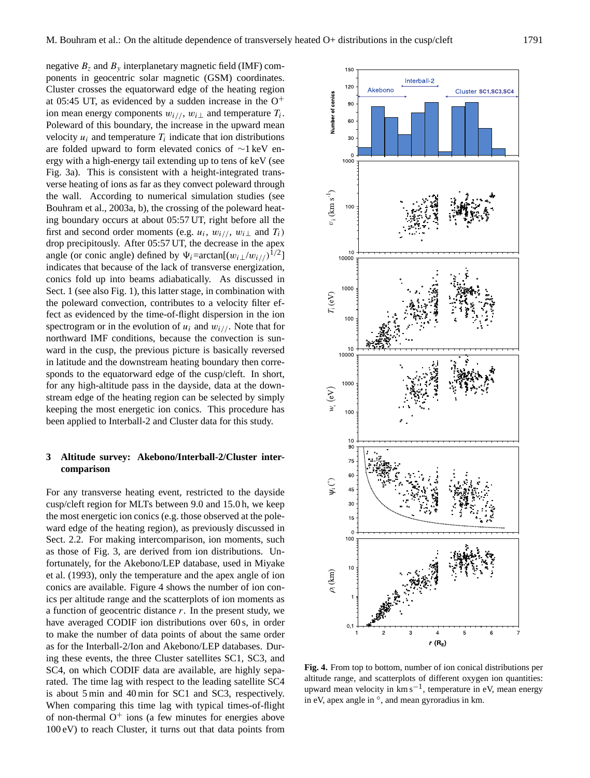negative  $B_z$  and  $B_y$  interplanetary magnetic field (IMF) components in geocentric solar magnetic (GSM) coordinates. Cluster crosses the equatorward edge of the heating region at 05:45 UT, as evidenced by a sudden increase in the  $O^+$ ion mean energy components  $w_{i//}$ ,  $w_{i\perp}$  and temperature  $T_i$ . Poleward of this boundary, the increase in the upward mean velocity  $u_i$  and temperature  $T_i$  indicate that ion distributions are folded upward to form elevated conics of ∼1 keV energy with a high-energy tail extending up to tens of keV (see Fig. 3a). This is consistent with a height-integrated transverse heating of ions as far as they convect poleward through the wall. According to numerical simulation studies (see Bouhram et al., 2003a, b), the crossing of the poleward heating boundary occurs at about 05:57 UT, right before all the first and second order moments (e.g.  $u_i$ ,  $w_{i/}$ ,  $w_{i \perp}$  and  $T_i$ ) drop precipitously. After 05:57 UT, the decrease in the apex angle (or conic angle) defined by  $\Psi_i = \arctan[(w_i \perp/w_i)/1^{1/2}]$ indicates that because of the lack of transverse energization, conics fold up into beams adiabatically. As discussed in Sect. 1 (see also Fig. 1), this latter stage, in combination with the poleward convection, contributes to a velocity filter effect as evidenced by the time-of-flight dispersion in the ion spectrogram or in the evolution of  $u_i$  and  $w_{i/}$ . Note that for northward IMF conditions, because the convection is sunward in the cusp, the previous picture is basically reversed in latitude and the downstream heating boundary then corresponds to the equatorward edge of the cusp/cleft. In short, for any high-altitude pass in the dayside, data at the downstream edge of the heating region can be selected by simply keeping the most energetic ion conics. This procedure has been applied to Interball-2 and Cluster data for this study.

# **3 Altitude survey: Akebono/Interball-2/Cluster intercomparison**

For any transverse heating event, restricted to the dayside cusp/cleft region for MLTs between 9.0 and 15.0 h, we keep the most energetic ion conics (e.g. those observed at the poleward edge of the heating region), as previously discussed in Sect. 2.2. For making intercomparison, ion moments, such as those of Fig. 3, are derived from ion distributions. Unfortunately, for the Akebono/LEP database, used in Miyake et al. (1993), only the temperature and the apex angle of ion conics are available. Figure 4 shows the number of ion conics per altitude range and the scatterplots of ion moments as a function of geocentric distance  $r$ . In the present study, we have averaged CODIF ion distributions over 60 s, in order to make the number of data points of about the same order as for the Interball-2/Ion and Akebono/LEP databases. During these events, the three Cluster satellites SC1, SC3, and SC4, on which CODIF data are available, are highly separated. The time lag with respect to the leading satellite SC4 is about 5 min and 40 min for SC1 and SC3, respectively. When comparing this time lag with typical times-of-flight of non-thermal  $O^+$  ions (a few minutes for energies above 100 eV) to reach Cluster, it turns out that data points from



**Fig. 4.** From top to bottom, number of ion conical distributions per altitude range, and scatterplots of different oxygen ion quantities: upward mean velocity in km s−<sup>1</sup> , temperature in eV, mean energy in eV, apex angle in  $\degree$ , and mean gyroradius in km.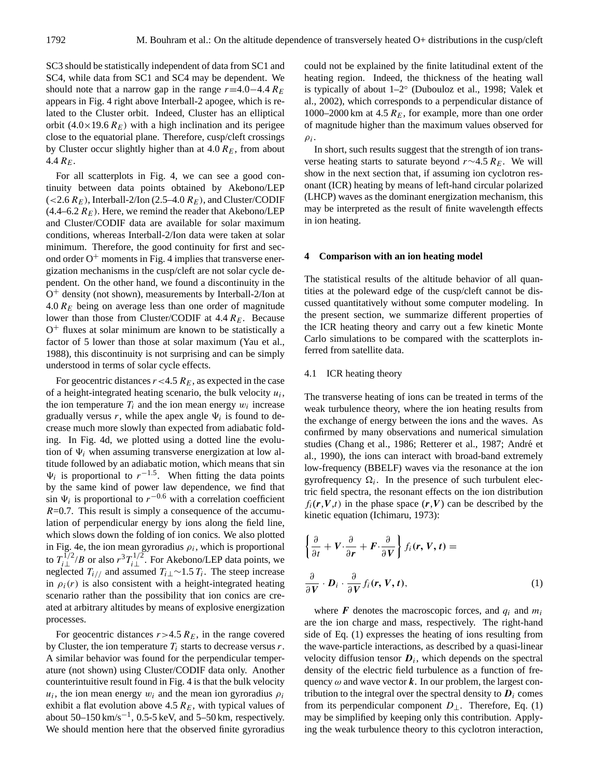SC3 should be statistically independent of data from SC1 and SC4, while data from SC1 and SC4 may be dependent. We should note that a narrow gap in the range  $r=4.0-4.4$  R<sub>E</sub> appears in Fig. 4 right above Interball-2 apogee, which is related to the Cluster orbit. Indeed, Cluster has an elliptical orbit  $(4.0 \times 19.6 \, R_E)$  with a high inclination and its perigee close to the equatorial plane. Therefore, cusp/cleft crossings by Cluster occur slightly higher than at  $4.0 R<sub>E</sub>$ , from about 4.4  $R_E$ .

For all scatterplots in Fig. 4, we can see a good continuity between data points obtained by Akebono/LEP  $(<2.6 R_E$ ), Interball-2/Ion (2.5–4.0  $R_E$ ), and Cluster/CODIF  $(4.4–6.2 R<sub>E</sub>)$ . Here, we remind the reader that Akebono/LEP and Cluster/CODIF data are available for solar maximum conditions, whereas Interball-2/Ion data were taken at solar minimum. Therefore, the good continuity for first and second order  $O<sup>+</sup>$  moments in Fig. 4 implies that transverse energization mechanisms in the cusp/cleft are not solar cycle dependent. On the other hand, we found a discontinuity in the O <sup>+</sup> density (not shown), measurements by Interball-2/Ion at  $4.0 R<sub>E</sub>$  being on average less than one order of magnitude lower than those from Cluster/CODIF at  $4.4 R_E$ . Because O <sup>+</sup> fluxes at solar minimum are known to be statistically a factor of 5 lower than those at solar maximum (Yau et al., 1988), this discontinuity is not surprising and can be simply understood in terms of solar cycle effects.

For geocentric distances  $r < 4.5$   $R_E$ , as expected in the case of a height-integrated heating scenario, the bulk velocity  $u_i$ , the ion temperature  $T_i$  and the ion mean energy  $w_i$  increase gradually versus r, while the apex angle  $\Psi_i$  is found to decrease much more slowly than expected from adiabatic folding. In Fig. 4d, we plotted using a dotted line the evolution of  $\Psi_i$  when assuming transverse energization at low altitude followed by an adiabatic motion, which means that sin  $\Psi_i$  is proportional to  $r^{-1.5}$ . When fitting the data points by the same kind of power law dependence, we find that sin  $\Psi_i$  is proportional to  $r^{-0.6}$  with a correlation coefficient  $R=0.7$ . This result is simply a consequence of the accumulation of perpendicular energy by ions along the field line, which slows down the folding of ion conics. We also plotted in Fig. 4e, the ion mean gyroradius  $\rho_i$ , which is proportional to  $T_{i\perp}^{1/2}/B$  or also  $r^3 T_{i\perp}^{1/2}$ . For Akebono/LEP data points, we neglected  $T_{i//}$  and assumed  $T_{i\perp}$ ∼1.5  $T_i$ . The steep increase in  $\rho_i(r)$  is also consistent with a height-integrated heating scenario rather than the possibility that ion conics are created at arbitrary altitudes by means of explosive energization processes.

For geocentric distances  $r > 4.5 R_E$ , in the range covered by Cluster, the ion temperature  $T_i$  starts to decrease versus r. A similar behavior was found for the perpendicular temperature (not shown) using Cluster/CODIF data only. Another counterintuitive result found in Fig. 4 is that the bulk velocity  $u_i$ , the ion mean energy  $w_i$  and the mean ion gyroradius  $\rho_i$ exhibit a flat evolution above 4.5  $R_E$ , with typical values of about  $50-150 \text{ km/s}^{-1}$ , 0.5-5 keV, and 5-50 km, respectively. We should mention here that the observed finite gyroradius could not be explained by the finite latitudinal extent of the heating region. Indeed, the thickness of the heating wall is typically of about 1–2◦ (Dubouloz et al., 1998; Valek et al., 2002), which corresponds to a perpendicular distance of 1000–2000 km at 4.5  $R_E$ , for example, more than one order of magnitude higher than the maximum values observed for  $\rho_i$ .

In short, such results suggest that the strength of ion transverse heating starts to saturate beyond r∼4.5  $R_E$ . We will show in the next section that, if assuming ion cyclotron resonant (ICR) heating by means of left-hand circular polarized (LHCP) waves as the dominant energization mechanism, this may be interpreted as the result of finite wavelength effects in ion heating.

#### **4 Comparison with an ion heating model**

The statistical results of the altitude behavior of all quantities at the poleward edge of the cusp/cleft cannot be discussed quantitatively without some computer modeling. In the present section, we summarize different properties of the ICR heating theory and carry out a few kinetic Monte Carlo simulations to be compared with the scatterplots inferred from satellite data.

### 4.1 ICR heating theory

The transverse heating of ions can be treated in terms of the weak turbulence theory, where the ion heating results from the exchange of energy between the ions and the waves. As confirmed by many observations and numerical simulation studies (Chang et al., 1986; Retterer et al., 1987; André et al., 1990), the ions can interact with broad-band extremely low-frequency (BBELF) waves via the resonance at the ion gyrofrequency  $\Omega_i$ . In the presence of such turbulent electric field spectra, the resonant effects on the ion distribution  $f_i(r, V, t)$  in the phase space  $(r, V)$  can be described by the kinetic equation (Ichimaru, 1973):

$$
\left\{\frac{\partial}{\partial t} + V \cdot \frac{\partial}{\partial r} + F \cdot \frac{\partial}{\partial V}\right\} f_i(r, V, t) =
$$
  

$$
\frac{\partial}{\partial V} \cdot \mathbf{D}_i \cdot \frac{\partial}{\partial V} f_i(r, V, t),
$$
 (1)

where  $\bf{F}$  denotes the macroscopic forces, and  $q_i$  and  $m_i$ are the ion charge and mass, respectively. The right-hand side of Eq. (1) expresses the heating of ions resulting from the wave-particle interactions, as described by a quasi-linear velocity diffusion tensor  $D_i$ , which depends on the spectral density of the electric field turbulence as a function of frequency  $\omega$  and wave vector k. In our problem, the largest contribution to the integral over the spectral density to  $D_i$  comes from its perpendicular component  $D_{\perp}$ . Therefore, Eq. (1) may be simplified by keeping only this contribution. Applying the weak turbulence theory to this cyclotron interaction,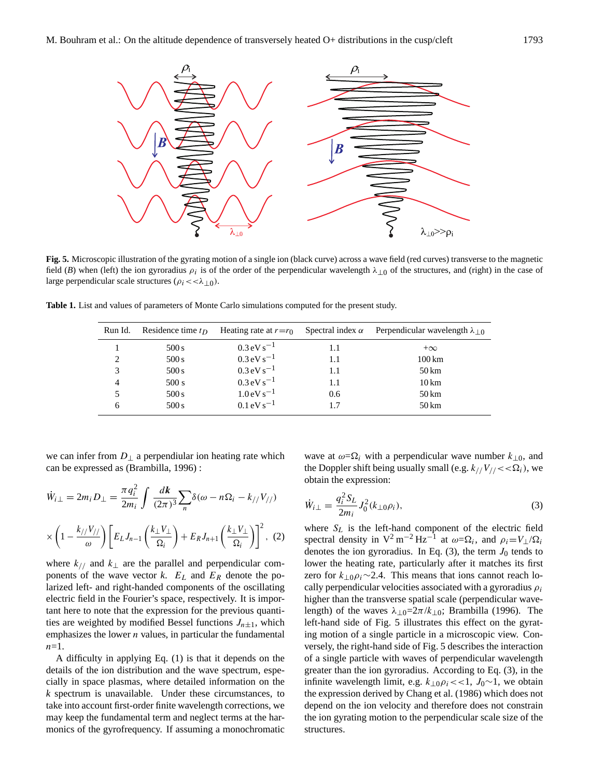

**Fig. 5.** Microscopic illustration of the gyrating motion of a single ion (black curve) across a wave field (red curves) transverse to the magnetic field (*B*) when (left) the ion gyroradius  $\rho_i$  is of the order of the perpendicular wavelength  $\lambda_{\perp 0}$  of the structures, and (right) in the case of large perpendicular scale structures ( $\rho_i$  < <  $\lambda_{\perp 0}$ ).

**Table 1.** List and values of parameters of Monte Carlo simulations computed for the present study.

| Run Id.                     | Residence time $t_D$ | Heating rate at $r=r_0$ Spectral index $\alpha$ |     | Perpendicular wavelength $\lambda_{\perp 0}$ |
|-----------------------------|----------------------|-------------------------------------------------|-----|----------------------------------------------|
|                             | 500 s                | $0.3 \,\mathrm{eV\,s}^{-1}$                     | 1.1 | $+\infty$                                    |
| $\mathcal{D}_{\mathcal{L}}$ | 500 s                | $0.3 \,\mathrm{eV\,s}^{-1}$                     | 1.1 | $100 \mathrm{km}$                            |
| 3                           | 500 s                | $0.3 \,\mathrm{eV\,s^{-1}}$                     | 1.1 | $50 \,\mathrm{km}$                           |
| 4                           | 500 s                | $0.3 \,\mathrm{eV\,s}^{-1}$                     | 1.1 | $10 \mathrm{km}$                             |
|                             | 500 s                | $1.0 \,\mathrm{eV\,s}^{-1}$                     | 0.6 | $50 \,\mathrm{km}$                           |
| 6                           | 500 s                | $0.1 \,\mathrm{eV\,s}^{-1}$                     | 1.7 | 50 km                                        |

we can infer from  $D_{\perp}$  a perpendiular ion heating rate which can be expressed as (Brambilla, 1996) :

$$
\dot{W}_{i\perp} = 2m_i D_{\perp} = \frac{\pi q_i^2}{2m_i} \int \frac{d\mathbf{k}}{(2\pi)^3} \sum_n \delta(\omega - n\Omega_i - k_{//} V_{//})
$$

$$
\times \left(1 - \frac{k_{//} V_{//}}{\omega}\right) \left[E_L J_{n-1} \left(\frac{k_{\perp} V_{\perp}}{\Omega_i}\right) + E_R J_{n+1} \left(\frac{k_{\perp} V_{\perp}}{\Omega_i}\right)\right]^2, (2)
$$

where  $k_{//}$  and  $k_{\perp}$  are the parallel and perpendicular components of the wave vector *k*.  $E_L$  and  $E_R$  denote the polarized left- and right-handed components of the oscillating electric field in the Fourier's space, respectively. It is important here to note that the expression for the previous quantities are weighted by modified Bessel functions  $J_{n\pm 1}$ , which emphasizes the lower  $n$  values, in particular the fundamental  $n=1$ .

A difficulty in applying Eq. (1) is that it depends on the details of the ion distribution and the wave spectrum, especially in space plasmas, where detailed information on the *k* spectrum is unavailable. Under these circumstances, to take into account first-order finite wavelength corrections, we may keep the fundamental term and neglect terms at the harmonics of the gyrofrequency. If assuming a monochromatic

wave at  $\omega = \Omega_i$  with a perpendicular wave number  $k_{\perp 0}$ , and the Doppler shift being usually small (e.g.  $k_{//}V_{//}<<\Omega_i$ ), we obtain the expression:

$$
\dot{W}_{i\perp} = \frac{q_i^2 S_L}{2m_i} J_0^2(k_{\perp 0} \rho_i),\tag{3}
$$

where  $S_L$  is the left-hand component of the electric field spectral density in  $V^2 m^{-2} Hz^{-1}$  at  $\omega = \Omega_i$ , and  $\rho_i = V_\perp / \Omega_i$ denotes the ion gyroradius. In Eq. (3), the term  $J_0$  tends to lower the heating rate, particularly after it matches its first zero for  $k_{\perp 0} \rho_i \sim 2.4$ . This means that ions cannot reach locally perpendicular velocities associated with a gyroradius  $\rho_i$ higher than the transverse spatial scale (perpendicular wavelength) of the waves  $\lambda_{\perp 0}$ =2 $\pi/k_{\perp 0}$ ; Brambilla (1996). The left-hand side of Fig. 5 illustrates this effect on the gyrating motion of a single particle in a microscopic view. Conversely, the right-hand side of Fig. 5 describes the interaction of a single particle with waves of perpendicular wavelength greater than the ion gyroradius. According to Eq. (3), in the infinite wavelength limit, e.g.  $k_{\perp 0} \rho_i \ll 1$ ,  $J_0 \sim 1$ , we obtain the expression derived by Chang et al. (1986) which does not depend on the ion velocity and therefore does not constrain the ion gyrating motion to the perpendicular scale size of the structures.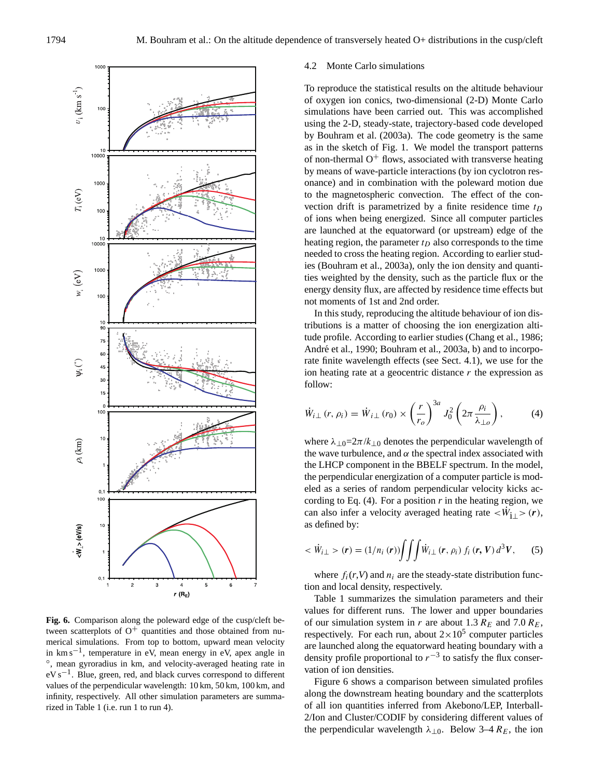

**Fig. 6.** Comparison along the poleward edge of the cusp/cleft between scatterplots of  $O^+$  quantities and those obtained from numerical simulations. From top to bottom, upward mean velocity in km s−<sup>1</sup> , temperature in eV, mean energy in eV, apex angle in ◦ , mean gyroradius in km, and velocity-averaged heating rate in eV s<sup>-1</sup>. Blue, green, red, and black curves correspond to different values of the perpendicular wavelength: 10 km, 50 km, 100 km, and infinity, respectively. All other simulation parameters are summarized in Table 1 (i.e. run 1 to run 4).

#### 4.2 Monte Carlo simulations

To reproduce the statistical results on the altitude behaviour of oxygen ion conics, two-dimensional (2-D) Monte Carlo simulations have been carried out. This was accomplished using the 2-D, steady-state, trajectory-based code developed by Bouhram et al. (2003a). The code geometry is the same as in the sketch of Fig. 1. We model the transport patterns of non-thermal  $O^+$  flows, associated with transverse heating by means of wave-particle interactions (by ion cyclotron resonance) and in combination with the poleward motion due to the magnetospheric convection. The effect of the convection drift is parametrized by a finite residence time  $t_D$ of ions when being energized. Since all computer particles are launched at the equatorward (or upstream) edge of the heating region, the parameter  $t_D$  also corresponds to the time needed to cross the heating region. According to earlier studies (Bouhram et al., 2003a), only the ion density and quantities weighted by the density, such as the particle flux or the energy density flux, are affected by residence time effects but not moments of 1st and 2nd order.

In this study, reproducing the altitude behaviour of ion distributions is a matter of choosing the ion energization altitude profile. According to earlier studies (Chang et al., 1986; André et al., 1990; Bouhram et al., 2003a, b) and to incorporate finite wavelength effects (see Sect. 4.1), we use for the ion heating rate at a geocentric distance  $r$  the expression as follow:

$$
\dot{W}_{i\perp}(r,\,\rho_i) = \dot{W}_{i\perp}(r_0) \times \left(\frac{r}{r_o}\right)^{3a} J_0^2 \left(2\pi \frac{\rho_i}{\lambda_{\perp o}}\right),\tag{4}
$$

where  $\lambda_{\perp 0}$ =2 $\pi/k_{\perp 0}$  denotes the perpendicular wavelength of the wave turbulence, and  $\alpha$  the spectral index associated with the LHCP component in the BBELF spectrum. In the model, the perpendicular energization of a computer particle is modeled as a series of random perpendicular velocity kicks according to Eq.  $(4)$ . For a position *r* in the heating region, we can also infer a velocity averaged heating rate  $\langle \dot{W}_{1\perp} \rangle$  (r), as defined by:

$$
\langle \dot{W}_{i\perp} \rangle \left( \mathbf{r} \right) = (1/n_i \left( \mathbf{r} \right)) \int \int \int \dot{W}_{i\perp} \left( \mathbf{r}, \rho_i \right) f_i \left( \mathbf{r}, V \right) d^3 V, \tag{5}
$$

where  $f_i(r, V)$  and  $n_i$  are the steady-state distribution function and local density, respectively.

Table 1 summarizes the simulation parameters and their values for different runs. The lower and upper boundaries of our simulation system in r are about 1.3  $R_E$  and 7.0  $R_E$ , respectively. For each run, about  $2 \times 10^5$  computer particles are launched along the equatorward heating boundary with a density profile proportional to  $r^{-3}$  to satisfy the flux conservation of ion densities.

Figure 6 shows a comparison between simulated profiles along the downstream heating boundary and the scatterplots of all ion quantities inferred from Akebono/LEP, Interball-2/Ion and Cluster/CODIF by considering different values of the perpendicular wavelength  $\lambda_{\perp 0}$ . Below 3–4  $R_E$ , the ion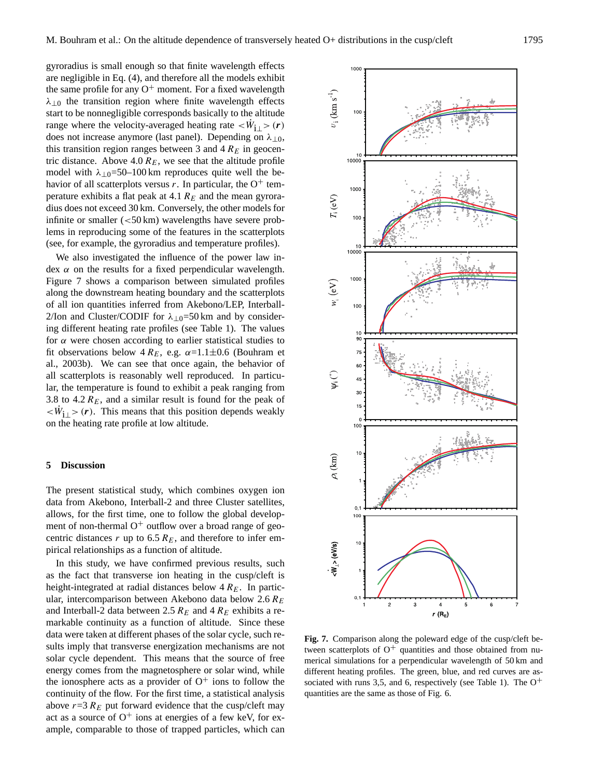gyroradius is small enough so that finite wavelength effects are negligible in Eq. (4), and therefore all the models exhibit the same profile for any  $O^+$  moment. For a fixed wavelength  $\lambda_{\perp 0}$  the transition region where finite wavelength effects start to be nonnegligible corresponds basically to the altitude range where the velocity-averaged heating rate  $\langle \dot{W}_{i\perp} \rangle$  (*r*) does not increase anymore (last panel). Depending on  $\lambda_{\perp 0}$ , this transition region ranges between 3 and  $4 R<sub>E</sub>$  in geocentric distance. Above 4.0  $R_E$ , we see that the altitude profile model with  $\lambda_{\perp 0}$ =50–100 km reproduces quite well the behavior of all scatterplots versus r. In particular, the  $O^+$  temperature exhibits a flat peak at 4.1  $R_E$  and the mean gyroradius does not exceed 30 km. Conversely, the other models for infinite or smaller  $\left( \langle 50 \text{ km} \rangle \right)$  wavelengths have severe problems in reproducing some of the features in the scatterplots (see, for example, the gyroradius and temperature profiles).

We also investigated the influence of the power law index  $\alpha$  on the results for a fixed perpendicular wavelength. Figure 7 shows a comparison between simulated profiles along the downstream heating boundary and the scatterplots of all ion quantities inferred from Akebono/LEP, Interball-2/Ion and Cluster/CODIF for  $\lambda_{10}$ =50 km and by considering different heating rate profiles (see Table 1). The values for  $\alpha$  were chosen according to earlier statistical studies to fit observations below  $4 R_E$ , e.g.  $\alpha = 1.1 \pm 0.6$  (Bouhram et al., 2003b). We can see that once again, the behavior of all scatterplots is reasonably well reproduced. In particular, the temperature is found to exhibit a peak ranging from 3.8 to 4.2  $R_E$ , and a similar result is found for the peak of  $\langle \dot{W}_{1\perp} \rangle$  (r). This means that this position depends weakly on the heating rate profile at low altitude.

## **5 Discussion**

The present statistical study, which combines oxygen ion data from Akebono, Interball-2 and three Cluster satellites, allows, for the first time, one to follow the global development of non-thermal  $O^+$  outflow over a broad range of geocentric distances r up to  $6.5 R<sub>E</sub>$ , and therefore to infer empirical relationships as a function of altitude.

In this study, we have confirmed previous results, such as the fact that transverse ion heating in the cusp/cleft is height-integrated at radial distances below  $4 R<sub>E</sub>$ . In particular, intercomparison between Akebono data below  $2.6 R_E$ and Interball-2 data between 2.5  $R_E$  and 4  $R_E$  exhibits a remarkable continuity as a function of altitude. Since these data were taken at different phases of the solar cycle, such results imply that transverse energization mechanisms are not solar cycle dependent. This means that the source of free energy comes from the magnetosphere or solar wind, while the ionosphere acts as a provider of  $O^+$  ions to follow the continuity of the flow. For the first time, a statistical analysis above  $r=3 R_E$  put forward evidence that the cusp/cleft may act as a source of  $O^+$  ions at energies of a few keV, for example, comparable to those of trapped particles, which can



**Fig. 7.** Comparison along the poleward edge of the cusp/cleft between scatterplots of  $O^+$  quantities and those obtained from numerical simulations for a perpendicular wavelength of 50 km and different heating profiles. The green, blue, and red curves are associated with runs 3,5, and 6, respectively (see Table 1). The  $O^+$ quantities are the same as those of Fig. 6.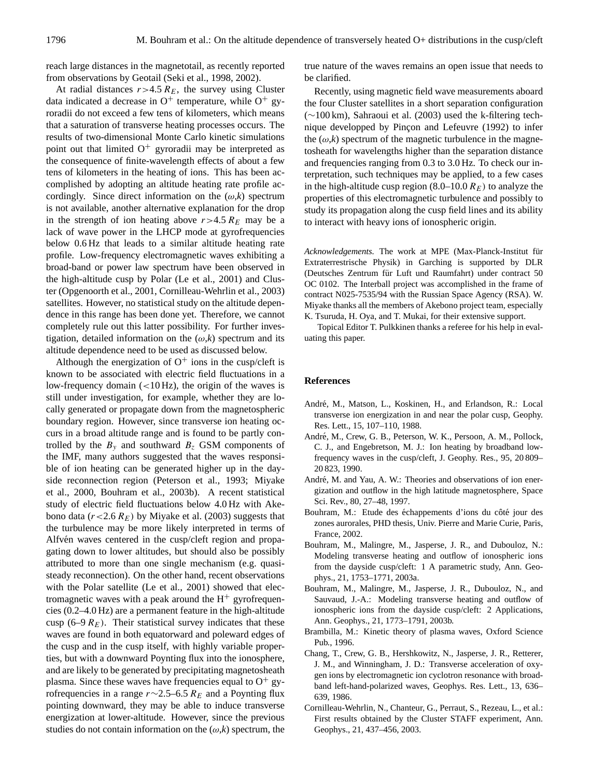reach large distances in the magnetotail, as recently reported from observations by Geotail (Seki et al., 1998, 2002).

At radial distances  $r > 4.5 R_E$ , the survey using Cluster data indicated a decrease in  $O^+$  temperature, while  $O^+$  gyroradii do not exceed a few tens of kilometers, which means that a saturation of transverse heating processes occurs. The results of two-dimensional Monte Carlo kinetic simulations point out that limited  $O^+$  gyroradii may be interpreted as the consequence of finite-wavelength effects of about a few tens of kilometers in the heating of ions. This has been accomplished by adopting an altitude heating rate profile accordingly. Since direct information on the  $(\omega, k)$  spectrum is not available, another alternative explanation for the drop in the strength of ion heating above  $r > 4.5 R<sub>E</sub>$  may be a lack of wave power in the LHCP mode at gyrofrequencies below 0.6 Hz that leads to a similar altitude heating rate profile. Low-frequency electromagnetic waves exhibiting a broad-band or power law spectrum have been observed in the high-altitude cusp by Polar (Le et al., 2001) and Cluster (Opgenoorth et al., 2001, Cornilleau-Wehrlin et al., 2003) satellites. However, no statistical study on the altitude dependence in this range has been done yet. Therefore, we cannot completely rule out this latter possibility. For further investigation, detailed information on the  $(\omega, k)$  spectrum and its altitude dependence need to be used as discussed below.

Although the energization of  $O^+$  ions in the cusp/cleft is known to be associated with electric field fluctuations in a low-frequency domain (<10 Hz), the origin of the waves is still under investigation, for example, whether they are locally generated or propagate down from the magnetospheric boundary region. However, since transverse ion heating occurs in a broad altitude range and is found to be partly controlled by the  $B_y$  and southward  $B_z$  GSM components of the IMF, many authors suggested that the waves responsible of ion heating can be generated higher up in the dayside reconnection region (Peterson et al., 1993; Miyake et al., 2000, Bouhram et al., 2003b). A recent statistical study of electric field fluctuations below 4.0 Hz with Akebono data ( $r < 2.6$   $R_E$ ) by Miyake et al. (2003) suggests that the turbulence may be more likely interpreted in terms of Alfvén waves centered in the cusp/cleft region and propagating down to lower altitudes, but should also be possibly attributed to more than one single mechanism (e.g. quasisteady reconnection). On the other hand, recent observations with the Polar satellite (Le et al., 2001) showed that electromagnetic waves with a peak around the  $H^+$  gyrofrequencies (0.2–4.0 Hz) are a permanent feature in the high-altitude cusp (6–9  $R_E$ ). Their statistical survey indicates that these waves are found in both equatorward and poleward edges of the cusp and in the cusp itself, with highly variable properties, but with a downward Poynting flux into the ionosphere, and are likely to be generated by precipitating magnetosheath plasma. Since these waves have frequencies equal to  $O^+$  gyrofrequencies in a range  $r \sim 2.5$ –6.5  $R_E$  and a Poynting flux pointing downward, they may be able to induce transverse energization at lower-altitude. However, since the previous studies do not contain information on the  $(\omega, k)$  spectrum, the true nature of the waves remains an open issue that needs to be clarified.

Recently, using magnetic field wave measurements aboard the four Cluster satellites in a short separation configuration (∼100 km), Sahraoui et al. (2003) used the k-filtering technique developped by Pincon and Lefeuvre (1992) to infer the  $(\omega, k)$  spectrum of the magnetic turbulence in the magnetosheath for wavelengths higher than the separation distance and frequencies ranging from 0.3 to 3.0 Hz. To check our interpretation, such techniques may be applied, to a few cases in the high-altitude cusp region (8.0–10.0  $R_E$ ) to analyze the properties of this electromagnetic turbulence and possibly to study its propagation along the cusp field lines and its ability to interact with heavy ions of ionospheric origin.

*Acknowledgements.* The work at MPE (Max-Planck-Institut für Extraterrestrische Physik) in Garching is supported by DLR (Deutsches Zentrum für Luft und Raumfahrt) under contract 50 OC 0102. The Interball project was accomplished in the frame of contract N025-7535/94 with the Russian Space Agency (RSA). W. Miyake thanks all the members of Akebono project team, especially K. Tsuruda, H. Oya, and T. Mukai, for their extensive support.

Topical Editor T. Pulkkinen thanks a referee for his help in evaluating this paper.

## **References**

- André, M., Matson, L., Koskinen, H., and Erlandson, R.: Local transverse ion energization in and near the polar cusp, Geophy. Res. Lett., 15, 107–110, 1988.
- André, M., Crew, G. B., Peterson, W. K., Persoon, A. M., Pollock, C. J., and Engebretson, M. J.: Ion heating by broadband lowfrequency waves in the cusp/cleft, J. Geophy. Res., 95, 20 809– 20 823, 1990.
- André, M. and Yau, A. W.: Theories and observations of ion energization and outflow in the high latitude magnetosphere, Space Sci. Rev., 80, 27–48, 1997.
- Bouhram, M.: Etude des échappements d'ions du côté jour des zones aurorales, PHD thesis, Univ. Pierre and Marie Curie, Paris, France, 2002.
- Bouhram, M., Malingre, M., Jasperse, J. R., and Dubouloz, N.: Modeling transverse heating and outflow of ionospheric ions from the dayside cusp/cleft: 1 A parametric study, Ann. Geophys., 21, 1753–1771, 2003a.
- Bouhram, M., Malingre, M., Jasperse, J. R., Dubouloz, N., and Sauvaud, J.-A.: Modeling transverse heating and outflow of ionospheric ions from the dayside cusp/cleft: 2 Applications, Ann. Geophys., 21, 1773–1791, 2003b.
- Brambilla, M.: Kinetic theory of plasma waves, Oxford Science Pub., 1996.
- Chang, T., Crew, G. B., Hershkowitz, N., Jasperse, J. R., Retterer, J. M., and Winningham, J. D.: Transverse acceleration of oxygen ions by electromagnetic ion cyclotron resonance with broadband left-hand-polarized waves, Geophys. Res. Lett., 13, 636– 639, 1986.
- Cornilleau-Wehrlin, N., Chanteur, G., Perraut, S., Rezeau, L., et al.: First results obtained by the Cluster STAFF experiment, Ann. Geophys., 21, 437–456, 2003.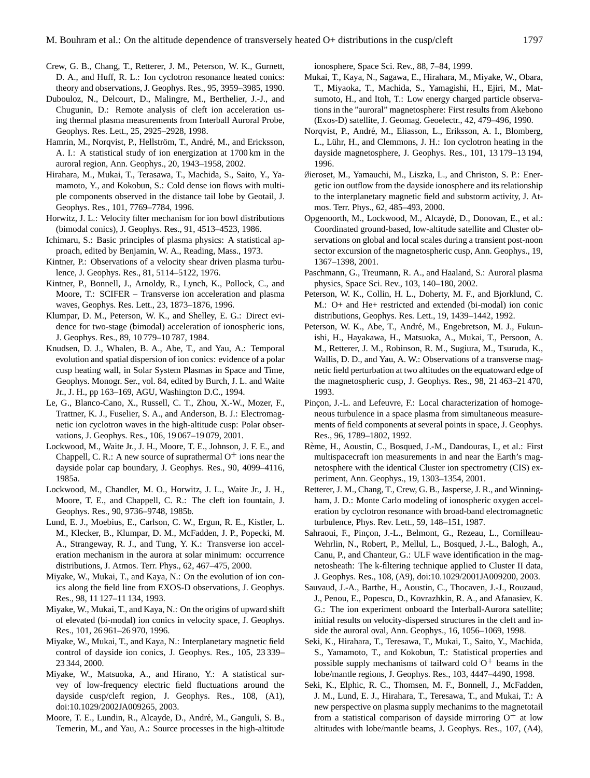- Crew, G. B., Chang, T., Retterer, J. M., Peterson, W. K., Gurnett, D. A., and Huff, R. L.: Ion cyclotron resonance heated conics: theory and observations, J. Geophys. Res., 95, 3959–3985, 1990.
- Dubouloz, N., Delcourt, D., Malingre, M., Berthelier, J.-J., and Chugunin, D.: Remote analysis of cleft ion acceleration using thermal plasma measurements from Interball Auroral Probe, Geophys. Res. Lett., 25, 2925–2928, 1998.
- Hamrin, M., Norqvist, P., Hellström, T., André, M., and Ericksson, A. I.: A statistical study of ion energization at 1700 km in the auroral region, Ann. Geophys., 20, 1943–1958, 2002.
- Hirahara, M., Mukai, T., Terasawa, T., Machida, S., Saito, Y., Yamamoto, Y., and Kokobun, S.: Cold dense ion flows with multiple components observed in the distance tail lobe by Geotail, J. Geophys. Res., 101, 7769–7784, 1996.
- Horwitz, J. L.: Velocity filter mechanism for ion bowl distributions (bimodal conics), J. Geophys. Res., 91, 4513–4523, 1986.
- Ichimaru, S.: Basic principles of plasma physics: A statistical approach, edited by Benjamin, W. A., Reading, Mass., 1973.
- Kintner, P.: Observations of a velocity shear driven plasma turbulence, J. Geophys. Res., 81, 5114–5122, 1976.
- Kintner, P., Bonnell, J., Arnoldy, R., Lynch, K., Pollock, C., and Moore, T.: SCIFER – Transverse ion acceleration and plasma waves, Geophys. Res. Lett., 23, 1873–1876, 1996.
- Klumpar, D. M., Peterson, W. K., and Shelley, E. G.: Direct evidence for two-stage (bimodal) acceleration of ionospheric ions, J. Geophys. Res., 89, 10 779–10 787, 1984.
- Knudsen, D. J., Whalen, B. A., Abe, T., and Yau, A.: Temporal evolution and spatial dispersion of ion conics: evidence of a polar cusp heating wall, in Solar System Plasmas in Space and Time, Geophys. Monogr. Ser., vol. 84, edited by Burch, J. L. and Waite Jr., J. H., pp 163–169, AGU, Washington D.C., 1994.
- Le, G., Blanco-Cano, X., Russell, C. T., Zhou, X.-W., Mozer, F., Trattner, K. J., Fuselier, S. A., and Anderson, B. J.: Electromagnetic ion cyclotron waves in the high-altitude cusp: Polar observations, J. Geophys. Res., 106, 19 067–19 079, 2001.
- Lockwood, M., Waite Jr., J. H., Moore, T. E., Johnson, J. F. E., and Chappell, C. R.: A new source of suprathermal  $O^+$  ions near the dayside polar cap boundary, J. Geophys. Res., 90, 4099–4116, 1985a.
- Lockwood, M., Chandler, M. O., Horwitz, J. L., Waite Jr., J. H., Moore, T. E., and Chappell, C. R.: The cleft ion fountain, J. Geophys. Res., 90, 9736–9748, 1985b.
- Lund, E. J., Moebius, E., Carlson, C. W., Ergun, R. E., Kistler, L. M., Klecker, B., Klumpar, D. M., McFadden, J. P., Popecki, M. A., Strangeway, R. J., and Tung, Y. K.: Transverse ion acceleration mechanism in the aurora at solar minimum: occurrence distributions, J. Atmos. Terr. Phys., 62, 467–475, 2000.
- Miyake, W., Mukai, T., and Kaya, N.: On the evolution of ion conics along the field line from EXOS-D observations, J. Geophys. Res., 98, 11 127–11 134, 1993.
- Miyake, W., Mukai, T., and Kaya, N.: On the origins of upward shift of elevated (bi-modal) ion conics in velocity space, J. Geophys. Res., 101, 26 961–26 970, 1996.
- Miyake, W., Mukai, T., and Kaya, N.: Interplanetary magnetic field control of dayside ion conics, J. Geophys. Res., 105, 23 339– 23 344, 2000.
- Miyake, W., Matsuoka, A., and Hirano, Y.: A statistical survey of low-frequency electric field fluctuations around the dayside cusp/cleft region, J. Geophys. Res., 108, (A1), doi:10.1029/2002JA009265, 2003.
- Moore, T. E., Lundin, R., Alcayde, D., André, M., Ganguli, S. B., Temerin, M., and Yau, A.: Source processes in the high-altitude

ionosphere, Space Sci. Rev., 88, 7–84, 1999.

- Mukai, T., Kaya, N., Sagawa, E., Hirahara, M., Miyake, W., Obara, T., Miyaoka, T., Machida, S., Yamagishi, H., Ejiri, M., Matsumoto, H., and Itoh, T.: Low energy charged particle observations in the "auroral" magnetosphere: First results from Akebono (Exos-D) satellite, J. Geomag. Geoelectr., 42, 479–496, 1990.
- Norqvist, P., André, M., Eliasson, L., Eriksson, A. I., Blomberg, L., Lühr, H., and Clemmons, J. H.: Ion cyclotron heating in the dayside magnetosphere, J. Geophys. Res., 101, 13 179–13 194, 1996.
- ∅ieroset, M., Yamauchi, M., Liszka, L., and Christon, S. P.: Energetic ion outflow from the dayside ionosphere and its relationship to the interplanetary magnetic field and substorm activity, J. Atmos. Terr. Phys., 62, 485–493, 2000.
- Opgenoorth, M., Lockwood, M., Alcayde, D., Donovan, E., et al.: ´ Coordinated ground-based, low-altitude satellite and Cluster observations on global and local scales during a transient post-noon sector excursion of the magnetospheric cusp, Ann. Geophys., 19, 1367–1398, 2001.
- Paschmann, G., Treumann, R. A., and Haaland, S.: Auroral plasma physics, Space Sci. Rev., 103, 140–180, 2002.
- Peterson, W. K., Collin, H. L., Doherty, M. F., and Bjorklund, C. M.: O+ and He+ restricted and extended (bi-modal) ion conic distributions, Geophys. Res. Lett., 19, 1439–1442, 1992.
- Peterson, W. K., Abe, T., André, M., Engebretson, M. J., Fukunishi, H., Hayakawa, H., Matsuoka, A., Mukai, T., Persoon, A. M., Retterer, J. M., Robinson, R. M., Sugiura, M., Tsuruda, K., Wallis, D. D., and Yau, A. W.: Observations of a transverse magnetic field perturbation at two altitudes on the equatoward edge of the magnetospheric cusp, J. Geophys. Res., 98, 21 463–21 470, 1993.
- Pinçon, J.-L. and Lefeuvre, F.: Local characterization of homogeneous turbulence in a space plasma from simultaneous measurements of field components at several points in space, J. Geophys. Res., 96, 1789–1802, 1992.
- Reme, H., Aoustin, C., Bosqued, J.-M., Dandouras, I., et al.: First ` multispacecraft ion measurements in and near the Earth's magnetosphere with the identical Cluster ion spectrometry (CIS) experiment, Ann. Geophys., 19, 1303–1354, 2001.
- Retterer, J. M., Chang, T., Crew, G. B., Jasperse, J. R., and Winningham, J. D.: Monte Carlo modeling of ionospheric oxygen acceleration by cyclotron resonance with broad-band electromagnetic turbulence, Phys. Rev. Lett., 59, 148–151, 1987.
- Sahraoui, F., Pinçon, J.-L., Belmont, G., Rezeau, L., Cornilleau-Wehrlin, N., Robert, P., Mellul, L., Bosqued, J.-L., Balogh, A., Canu, P., and Chanteur, G.: ULF wave identification in the magnetosheath: The k-filtering technique applied to Cluster II data, J. Geophys. Res., 108, (A9), doi:10.1029/2001JA009200, 2003.
- Sauvaud, J.-A., Barthe, H., Aoustin, C., Thocaven, J.-J., Rouzaud, J., Penou, E., Popescu, D., Kovrazhkin, R. A., and Afanasiev, K. G.: The ion experiment onboard the Interball-Aurora satellite; initial results on velocity-dispersed structures in the cleft and inside the auroral oval, Ann. Geophys., 16, 1056–1069, 1998.
- Seki, K., Hirahara, T., Teresawa, T., Mukai, T., Saito, Y., Machida, S., Yamamoto, T., and Kokobun, T.: Statistical properties and possible supply mechanisms of tailward cold  $O<sup>+</sup>$  beams in the lobe/mantle regions, J. Geophys. Res., 103, 4447–4490, 1998.
- Seki, K., Elphic, R. C., Thomsen, M. F., Bonnell, J., McFadden, J. M., Lund, E. J., Hirahara, T., Teresawa, T., and Mukai, T.: A new perspective on plasma supply mechanims to the magnetotail from a statistical comparison of dayside mirroring  $O^+$  at low altitudes with lobe/mantle beams, J. Geophys. Res., 107, (A4),